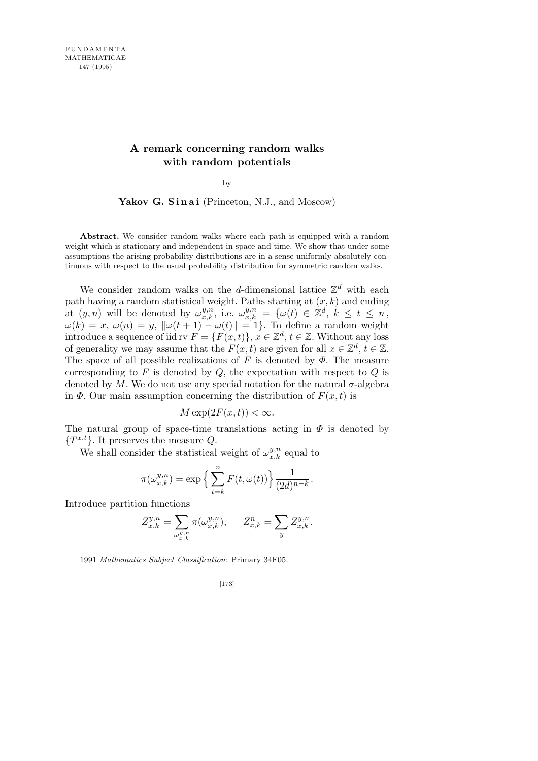## **A remark concerning random walks with random potentials**

by

Yakov G. Sinai (Princeton, N.J., and Moscow)

**Abstract.** We consider random walks where each path is equipped with a random weight which is stationary and independent in space and time. We show that under some assumptions the arising probability distributions are in a sense uniformly absolutely continuous with respect to the usual probability distribution for symmetric random walks.

We consider random walks on the *d*-dimensional lattice  $\mathbb{Z}^d$  with each path having a random statistical weight. Paths starting at (*x, k*) and ending at  $(y, n)$  will be denoted by  $\omega_{x,k}^{y,n}$ , i.e.  $\omega_{x,k}^{y,n} = {\omega(t) \in \mathbb{Z}^d, k \leq t \leq n}$ ,  $\omega(k) = x, \ \omega(n) = y, \ \|\omega(t+1) - \omega(t)\| = 1$ . To define a random weight introduce a sequence of iid rv  $F = \{F(x,t)\}, x \in \mathbb{Z}^d, t \in \mathbb{Z}$ . Without any loss of generality we may assume that the  $F(x, t)$  are given for all  $x \in \mathbb{Z}^d, t \in \mathbb{Z}$ . The space of all possible realizations of  $F$  is denoted by  $\Phi$ . The measure corresponding to *F* is denoted by *Q*, the expectation with respect to *Q* is denoted by  $M$ . We do not use any special notation for the natural  $\sigma$ -algebra in  $\Phi$ . Our main assumption concerning the distribution of  $F(x, t)$  is

$$
M \exp(2F(x,t)) < \infty.
$$

The natural group of space-time translations acting in  $\Phi$  is denoted by *{T x,t}*. It preserves the measure *Q*.

We shall consider the statistical weight of  $\omega_{x,k}^{y,n}$  equal to

$$
\pi(\omega_{x,k}^{y,n}) = \exp\left\{\sum_{t=k}^n F(t,\omega(t))\right\} \frac{1}{(2d)^{n-k}}.
$$

Introduce partition functions

$$
Z_{x,k}^{y,n} = \sum_{\omega_{x,k}^{y,n}} \pi(\omega_{x,k}^{y,n}), \qquad Z_{x,k}^{n} = \sum_{y} Z_{x,k}^{y,n}.
$$

1991 *Mathematics Subject Classification*: Primary 34F05.

$$
[173]
$$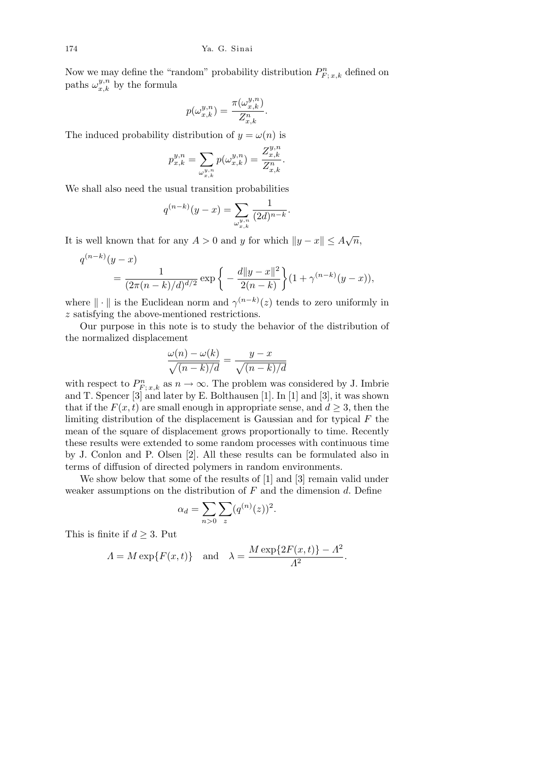Now we may define the "random" probability distribution  $P_{F;\,x,k}^n$  defined on paths  $\omega_{x,k}^{y,n}$  by the formula

$$
p(\omega_{x,k}^{y,n}) = \frac{\pi(\omega_{x,k}^{y,n})}{Z_{x,k}^n}.
$$

The induced probability distribution of  $y = \omega(n)$  is

$$
p_{x,k}^{y,n} = \sum_{\omega_{x,k}^{y,n}} p(\omega_{x,k}^{y,n}) = \frac{Z_{x,k}^{y,n}}{Z_{x,k}^n}.
$$

We shall also need the usual transition probabilities

$$
q^{(n-k)}(y-x) = \sum_{\omega_{x,k}^{y,n}} \frac{1}{(2d)^{n-k}}
$$

*.*

It is well known that for any  $A > 0$  and *y* for which  $||y - x|| \leq A\sqrt{n}$ ,

$$
q^{(n-k)}(y-x) = \frac{1}{(2\pi(n-k)/d)^{d/2}} \exp\left\{-\frac{d\|y-x\|^2}{2(n-k)}\right\} (1+\gamma^{(n-k)}(y-x)),
$$

where  $\|\cdot\|$  is the Euclidean norm and  $\gamma^{(n-k)}(z)$  tends to zero uniformly in *z* satisfying the above-mentioned restrictions.

Our purpose in this note is to study the behavior of the distribution of the normalized displacement

$$
\frac{\omega(n) - \omega(k)}{\sqrt{(n-k)/d}} = \frac{y - x}{\sqrt{(n-k)/d}}
$$

with respect to  $P_{F;\,x,k}^n$  as  $n \to \infty$ . The problem was considered by J. Imbrie and T. Spencer [3] and later by E. Bolthausen [1]. In [1] and [3], it was shown that if the  $F(x, t)$  are small enough in appropriate sense, and  $d \geq 3$ , then the limiting distribution of the displacement is Gaussian and for typical *F* the mean of the square of displacement grows proportionally to time. Recently these results were extended to some random processes with continuous time by J. Conlon and P. Olsen [2]. All these results can be formulated also in terms of diffusion of directed polymers in random environments.

We show below that some of the results of [1] and [3] remain valid under weaker assumptions on the distribution of *F* and the dimension *d*. Define

$$
\alpha_d = \sum_{n>0} \sum_{z} (q^{(n)}(z))^2.
$$

This is finite if *d ≥* 3. Put

$$
\Lambda = M \exp\{F(x,t)\} \quad \text{and} \quad \lambda = \frac{M \exp\{2F(x,t)\} - A^2}{A^2}
$$

*.*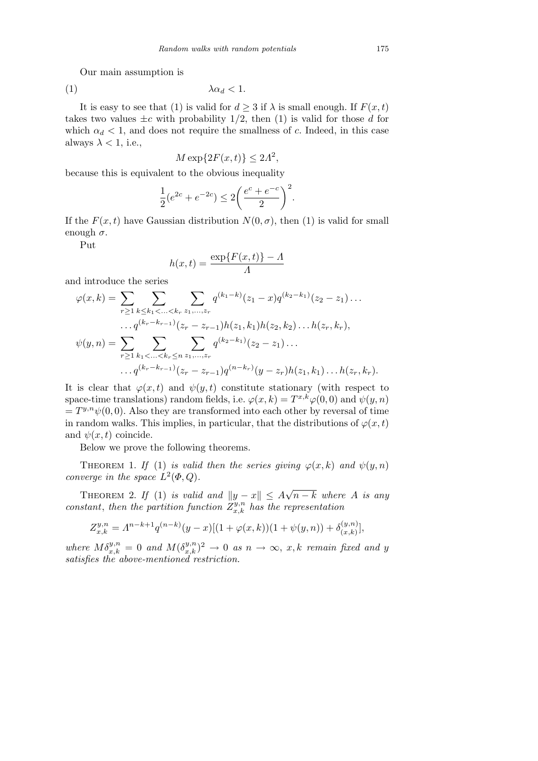Our main assumption is

$$
\lambda \alpha_d < 1.
$$

It is easy to see that (1) is valid for  $d \geq 3$  if  $\lambda$  is small enough. If  $F(x, t)$ takes two values  $\pm c$  with probability 1/2, then (1) is valid for those *d* for which  $\alpha_d$  < 1, and does not require the smallness of *c*. Indeed, in this case always  $\lambda < 1$ , i.e.,

$$
M \exp\{2F(x,t)\} \le 2A^2,
$$

because this is equivalent to the obvious inequality

$$
\frac{1}{2}(e^{2c} + e^{-2c}) \le 2\left(\frac{e^c + e^{-c}}{2}\right)^2.
$$

If the  $F(x,t)$  have Gaussian distribution  $N(0,\sigma)$ , then (1) is valid for small enough  $\sigma$ .

Put

$$
h(x,t) = \frac{\exp\{F(x,t)\} - A}{A}
$$

and introduce the series

$$
\varphi(x,k) = \sum_{r \geq 1} \sum_{k \leq k_1 < \ldots < k_r} \sum_{z_1, \ldots, z_r} q^{(k_1 - k)}(z_1 - x) q^{(k_2 - k_1)}(z_2 - z_1) \ldots
$$
\n
$$
\ldots q^{(k_r - k_{r-1})}(z_r - z_{r-1}) h(z_1, k_1) h(z_2, k_2) \ldots h(z_r, k_r),
$$
\n
$$
\psi(y,n) = \sum_{r \geq 1} \sum_{k_1 < \ldots < k_r \leq n} \sum_{z_1, \ldots, z_r} q^{(k_2 - k_1)}(z_2 - z_1) \ldots
$$
\n
$$
\ldots q^{(k_r - k_{r-1})}(z_r - z_{r-1}) q^{(n - k_r)}(y - z_r) h(z_1, k_1) \ldots h(z_r, k_r).
$$

It is clear that  $\varphi(x,t)$  and  $\psi(y,t)$  constitute stationary (with respect to space-time translations) random fields, i.e.  $\varphi(x, k) = T^{x, k} \varphi(0, 0)$  and  $\psi(y, n)$  $= T^{y,n} \psi(0,0)$ . Also they are transformed into each other by reversal of time in random walks. This implies, in particular, that the distributions of  $\varphi(x, t)$ and  $\psi(x, t)$  coincide.

Below we prove the following theorems.

THEOREM 1. *If* (1) *is valid then the series giving*  $\varphi(x, k)$  *and*  $\psi(y, n)$ *converge in the space*  $L^2(\Phi, Q)$ *.* 

THEOREM 2. If (1) is valid and  $||y - x|| \leq A$ *√ n − k where A is any constant, then the partition function*  $Z_{x,k}^{y,n}$  *has the representation* 

$$
Z_{x,k}^{y,n} = A^{n-k+1} q^{(n-k)} (y-x) [(1+\varphi(x,k))(1+\psi(y,n)) + \delta_{(x,k)}^{(y,n)}],
$$

 $where M\delta_{x,k}^{y,n} = 0$  and  $M(\delta_{x,k}^{y,n})^2 \rightarrow 0$  as  $n \rightarrow \infty$ , x, k remain fixed and y *satisfies the above-mentioned restriction.*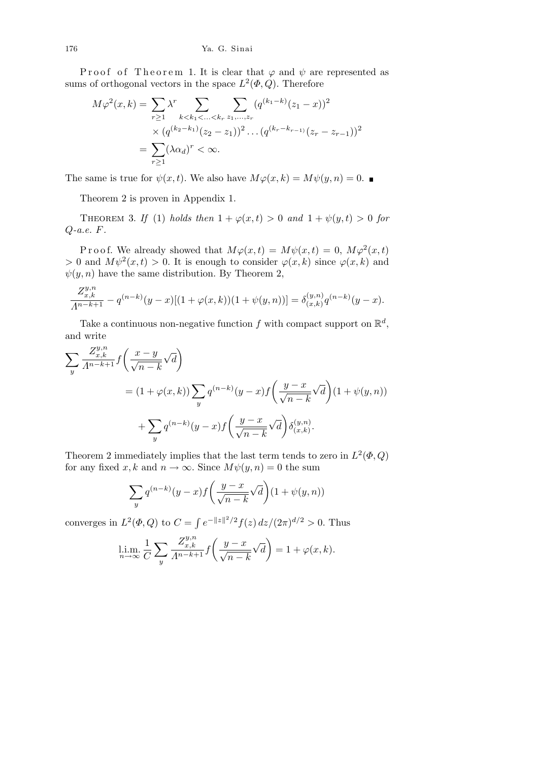Proof of Theorem 1. It is clear that  $\varphi$  and  $\psi$  are represented as sums of orthogonal vectors in the space  $L^2(\Phi, Q)$ . Therefore

$$
M\varphi^{2}(x,k) = \sum_{r \geq 1} \lambda^{r} \sum_{k < k_{1} < \ldots < k_{r}} \sum_{z_{1}, \ldots, z_{r}} (q^{(k_{1}-k)}(z_{1}-x))^{2}
$$

$$
\times (q^{(k_{2}-k_{1})}(z_{2}-z_{1}))^{2} \ldots (q^{(k_{r}-k_{r-1})}(z_{r}-z_{r-1}))^{2}
$$

$$
= \sum_{r \geq 1} (\lambda \alpha_{d})^{r} < \infty.
$$

The same is true for  $\psi(x, t)$ . We also have  $M\varphi(x, k) = M\psi(y, n) = 0$ .

Theorem 2 is proven in Appendix 1.

THEOREM 3. *If* (1) *holds then*  $1 + \varphi(x, t) > 0$  *and*  $1 + \psi(y, t) > 0$  *for Q-a.e. F.*

Proof. We already showed that  $M\varphi(x,t) = M\psi(x,t) = 0$ ,  $M\varphi^2(x,t)$  $> 0$  and  $M\psi^2(x,t) > 0$ . It is enough to consider  $\varphi(x,k)$  since  $\varphi(x,k)$  and  $\psi(y, n)$  have the same distribution. By Theorem 2,

$$
\frac{Z_{x,k}^{y,n}}{\Lambda^{n-k+1}} - q^{(n-k)}(y-x)[(1+\varphi(x,k))(1+\psi(y,n))] = \delta_{(x,k)}^{(y,n)}q^{(n-k)}(y-x).
$$

Take a continuous non-negative function  $f$  with compact support on  $\mathbb{R}^d$ , and write

$$
\sum_{y} \frac{Z_{x,k}^{y,n}}{\Lambda^{n-k+1}} f\left(\frac{x-y}{\sqrt{n-k}}\sqrt{d}\right)
$$
  
=  $(1+\varphi(x,k)) \sum_{y} q^{(n-k)}(y-x) f\left(\frac{y-x}{\sqrt{n-k}}\sqrt{d}\right) (1+\psi(y,n))$   
+  $\sum_{y} q^{(n-k)}(y-x) f\left(\frac{y-x}{\sqrt{n-k}}\sqrt{d}\right) \delta_{(x,k)}^{(y,n)}$ .

Theorem 2 immediately implies that the last term tends to zero in  $L^2(\Phi, Q)$ for any fixed *x*, *k* and  $n \to \infty$ . Since  $M\psi(y, n) = 0$  the sum

$$
\sum_{y} q^{(n-k)}(y-x) f\left(\frac{y-x}{\sqrt{n-k}}\sqrt{d}\right) (1+\psi(y,n))
$$

converges in  $L^2(\Phi, Q)$  to  $C =$ R  $e^{-\|z\|^2/2}f(z) dz/(2\pi)^{d/2} > 0$ . Thus

$$
\lim_{n \to \infty} \frac{1}{C} \sum_{y} \frac{Z_{x,k}^{y,n}}{\Lambda^{n-k+1}} f\left(\frac{y-x}{\sqrt{n-k}} \sqrt{d}\right) = 1 + \varphi(x,k).
$$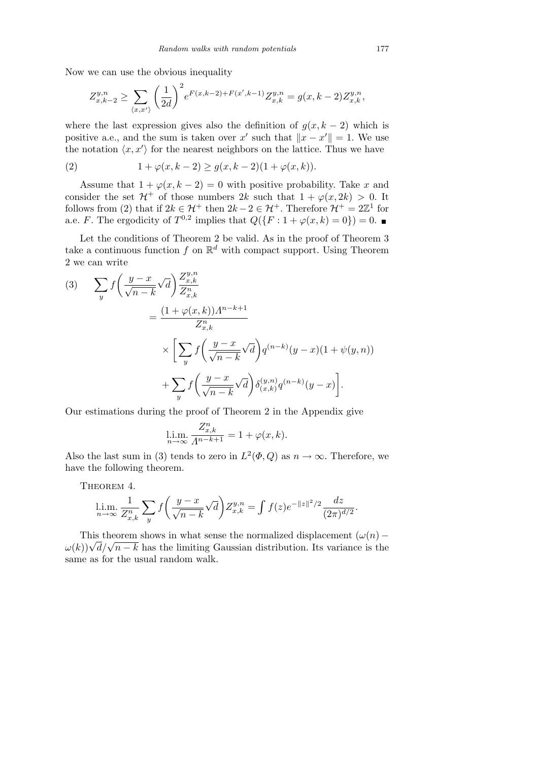Now we can use the obvious inequality

$$
Z^{y,n}_{x,k-2}\geq \sum_{\langle x,x'\rangle}\bigg(\frac{1}{2d}\bigg)^2e^{F(x,k-2)+F(x',k-1)}Z^{y,n}_{x,k}=g(x,k-2)Z^{y,n}_{x,k},
$$

where the last expression gives also the definition of  $g(x, k-2)$  which is positive a.e., and the sum is taken over *x'* such that  $\|x - x'\| = 1$ . We use the notation  $\langle x, x' \rangle$  for the nearest neighbors on the lattice. Thus we have

(2) 
$$
1 + \varphi(x, k-2) \ge g(x, k-2)(1 + \varphi(x, k)).
$$

Assume that  $1 + \varphi(x, k - 2) = 0$  with positive probability. Take *x* and consider the set  $\mathcal{H}^+$  of those numbers 2*k* such that  $1 + \varphi(x, 2k) > 0$ . It follows from (2) that if  $2k \in \mathcal{H}^+$  then  $2k - 2 \in \mathcal{H}^+$ . Therefore  $\mathcal{H}^+ = 2\mathbb{Z}^1$  for a.e. *F*. The ergodicity of  $T^{0,2}$  implies that  $Q({F : 1 + \varphi(x, k) = 0}) = 0$ .

Let the conditions of Theorem 2 be valid. As in the proof of Theorem 3 take a continuous function  $f$  on  $\mathbb{R}^d$  with compact support. Using Theorem 2 we can write

(3) 
$$
\sum_{y} f\left(\frac{y-x}{\sqrt{n-k}}\sqrt{d}\right) \frac{Z_{x,k}^{y,n}}{Z_{x,k}^n}
$$
  

$$
= \frac{(1+\varphi(x,k))A^{n-k+1}}{Z_{x,k}^n}
$$

$$
\times \left[\sum_{y} f\left(\frac{y-x}{\sqrt{n-k}}\sqrt{d}\right) q^{(n-k)}(y-x)(1+\psi(y,n)) + \sum_{y} f\left(\frac{y-x}{\sqrt{n-k}}\sqrt{d}\right) \delta_{(x,k)}^{(y,n)} q^{(n-k)}(y-x)\right].
$$

Our estimations during the proof of Theorem 2 in the Appendix give

$$
\lim_{n \to \infty} \frac{Z_{x,k}^n}{\Lambda^{n-k+1}} = 1 + \varphi(x,k).
$$

Also the last sum in (3) tends to zero in  $L^2(\Phi, Q)$  as  $n \to \infty$ . Therefore, we have the following theorem.

THEOREM 4.

$$
\lim_{n \to \infty} \frac{1}{Z_{x,k}^n} \sum_y f\left(\frac{y-x}{\sqrt{n-k}} \sqrt{d}\right) Z_{x,k}^{y,n} = \int f(z) e^{-\|z\|^2/2} \frac{dz}{(2\pi)^{d/2}}
$$

This theorem shows in what sense the normalized displacement  $(\omega(n) -$ This theorem shows in what sense the normalized displacement  $(\omega(n) - \omega(k))\sqrt{d}/\sqrt{n-k}$  has the limiting Gaussian distribution. Its variance is the same as for the usual random walk.

*.*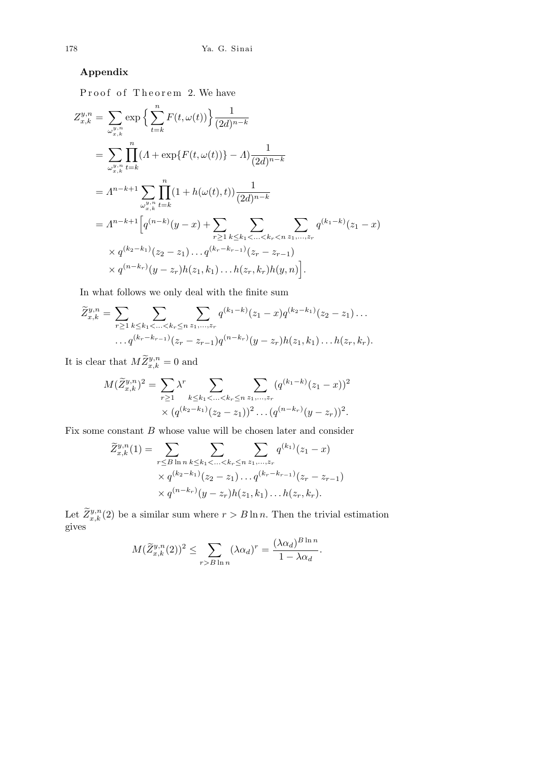## **Appendix**

Proof of Theorem 2. We have

$$
Z_{x,k}^{y,n} = \sum_{\omega_{x,k}^{y,n}} \exp \left\{ \sum_{t=k}^{n} F(t, \omega(t)) \right\} \frac{1}{(2d)^{n-k}}
$$
  
\n
$$
= \sum_{\omega_{x,k}^{y,n}} \prod_{t=k}^{n} (A + \exp\{F(t, \omega(t))\} - A) \frac{1}{(2d)^{n-k}}
$$
  
\n
$$
= A^{n-k+1} \sum_{\omega_{x,k}^{y,n}} \prod_{t=k}^{n} (1 + h(\omega(t), t)) \frac{1}{(2d)^{n-k}}
$$
  
\n
$$
= A^{n-k+1} \Big[ q^{(n-k)}(y-x) + \sum_{r \geq 1} \sum_{k \leq k_1 < ... < k_r < n} \sum_{z_1, ..., z_r} q^{(k_1-k)}(z_1 - x)
$$
  
\n
$$
\times q^{(k_2 - k_1)}(z_2 - z_1) \dots q^{(k_r - k_{r-1})}(z_r - z_{r-1})
$$
  
\n
$$
\times q^{(n-k_r)}(y - z_r)h(z_1, k_1) \dots h(z_r, k_r)h(y, n) \Big].
$$

In what follows we only deal with the finite sum

$$
\widetilde{Z}_{x,k}^{y,n} = \sum_{r \geq 1} \sum_{k \leq k_1 < \ldots < k_r \leq n} \sum_{z_1, \ldots, z_r} q^{(k_1 - k)}(z_1 - x) q^{(k_2 - k_1)}(z_2 - z_1) \ldots
$$
\n
$$
\ldots q^{(k_r - k_{r-1})}(z_r - z_{r-1}) q^{(n - k_r)}(y - z_r) h(z_1, k_1) \ldots h(z_r, k_r).
$$

It is clear that  $M\widetilde{Z}_{x,k}^{y,n} = 0$  and

$$
M(\widetilde{Z}_{x,k}^{y,n})^2 = \sum_{r \ge 1} \lambda^r \sum_{k \le k_1 < \ldots < k_r \le n} \sum_{z_1, \ldots, z_r} (q^{(k_1 - k)}(z_1 - x))^2
$$
  
 
$$
\times (q^{(k_2 - k_1)}(z_2 - z_1))^2 \ldots (q^{(n - k_r)}(y - z_r))^2.
$$

Fix some constant *B* whose value will be chosen later and consider

$$
\widetilde{Z}_{x,k}^{y,n}(1) = \sum_{r \leq B \ln n} \sum_{k \leq k_1 < \ldots < k_r \leq n} \sum_{z_1, \ldots, z_r} q^{(k_1)}(z_1 - x)
$$
\n
$$
\times q^{(k_2 - k_1)}(z_2 - z_1) \ldots q^{(k_r - k_{r-1})}(z_r - z_{r-1})
$$
\n
$$
\times q^{(n-k_r)}(y - z_r)h(z_1, k_1) \ldots h(z_r, k_r).
$$

Let  $\widetilde{Z}_{x,k}^{y,n}(2)$  be a similar sum where  $r > B \ln n$ . Then the trivial estimation gives

$$
M(\widetilde{Z}_{x,k}^{y,n}(2))^2 \leq \sum_{r>B \ln n} (\lambda \alpha_d)^r = \frac{(\lambda \alpha_d)^{B \ln n}}{1 - \lambda \alpha_d}.
$$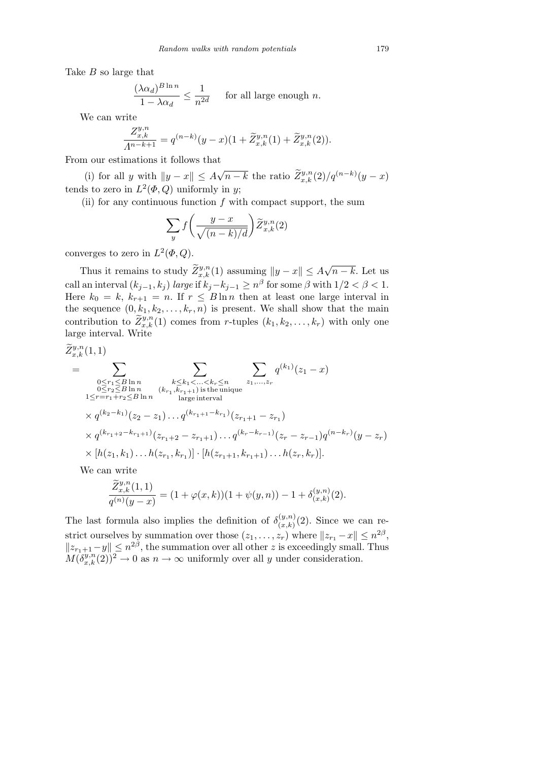Take *B* so large that

$$
\frac{(\lambda \alpha_d)^{B \ln n}}{1 - \lambda \alpha_d} \le \frac{1}{n^{2d}} \quad \text{for all large enough } n.
$$

We can write

$$
\frac{Z_{x,k}^{y,n}}{A^{n-k+1}}=q^{(n-k)}(y-x)(1+\widetilde{Z}_{x,k}^{y,n}(1)+\widetilde{Z}_{x,k}^{y,n}(2)).
$$

From our estimations it follows that

(i) for all *y* with  $||y - x|| \leq A$  $\sqrt{n-k}$  the ratio  $\tilde{Z}_{x,k}^{y,n}(2)/q^{(n-k)}(y-x)$ tends to zero in  $L^2(\Phi, Q)$  uniformly in *y*;

(ii) for any continuous function *f* with compact support, the sum

$$
\sum_{y} f\left(\frac{y-x}{\sqrt{(n-k)/d}}\right) \widetilde{Z}^{y,n}_{x,k}(2)
$$

converges to zero in  $L^2(\Phi, Q)$ .

Thus it remains to study  $\widetilde{Z}_{x,k}^{y,n}(1)$  assuming  $||y - x|| \leq A$ *√ n − k*. Let us  $\text{call an interval } (k_{j-1}, k_j) \text{ } large \text{ if } k_j - k_{j-1} \geq n^{\beta} \text{ for some } \beta \text{ with } 1/2 < \beta < 1.$ Here  $k_0 = k$ ,  $k_{r+1} = n$ . If  $r \leq B \ln n$  then at least one large interval in the sequence  $(0, k_1, k_2, \ldots, k_r, n)$  is present. We shall show that the main contribution to  $\tilde{Z}_{x,k}^{y,n}(1)$  comes from *r*-tuples  $(k_1, k_2, \ldots, k_r)$  with only one large interval. Write

$$
\widetilde{Z}_{x,k}^{y,n}(1,1)
$$
\n
$$
= \sum_{\substack{0 \leq r_1 \leq B \ln n \\ 1 \leq r = r_1 + r_2 \leq B \ln n \\ 1 \leq r = r_1 + r_2 \leq B \ln n}} \sum_{\substack{k \leq k_1 < \ldots < k_r \leq n \\ (k_{r_1}, k_{r_1+1}) \text{ is the unique} \\ \text{large interval}}} z_1^{(k_1)}(z_1 - x)
$$
\n
$$
\times q^{(k_2 - k_1)}(z_2 - z_1) \ldots q^{(k_{r_1+1} - k_{r_1})}(z_{r_1+1} - z_{r_1})
$$
\n
$$
\times q^{(k_{r_1+2} - k_{r_1+1})}(z_{r_1+2} - z_{r_1+1}) \ldots q^{(k_r - k_{r-1})}(z_r - z_{r-1}) q^{(n-k_r)}(y - z_r)
$$
\n
$$
\times [h(z_1, k_1) \ldots h(z_{r_1}, k_{r_1})] \cdot [h(z_{r_1+1}, k_{r_1+1}) \ldots h(z_r, k_r)].
$$

We can write

$$
\frac{\widetilde{Z}^{y,n}_{x,k}(1,1)}{q^{(n)}(y-x)} = (1+\varphi(x,k))(1+\psi(y,n)) - 1 + \delta^{(y,n)}_{(x,k)}(2).
$$

The last formula also implies the definition of  $\delta_{(r,k)}^{(y,n)}$  $\binom{(y,n)}{(x,k)}$  (2). Since we can restrict ourselves by summation over those  $(z_1, \ldots, z_r)$  where  $||z_{r_1} - x|| \leq n^{2\beta}$ ,  $||z_{r_1+1}-y|| \leq n^{2\beta}$ , the summation over all other *z* is exceedingly small. Thus  $M(\delta_{x,k}^{y,n}(2))^2 \to 0$  as  $n \to \infty$  uniformly over all *y* under consideration.